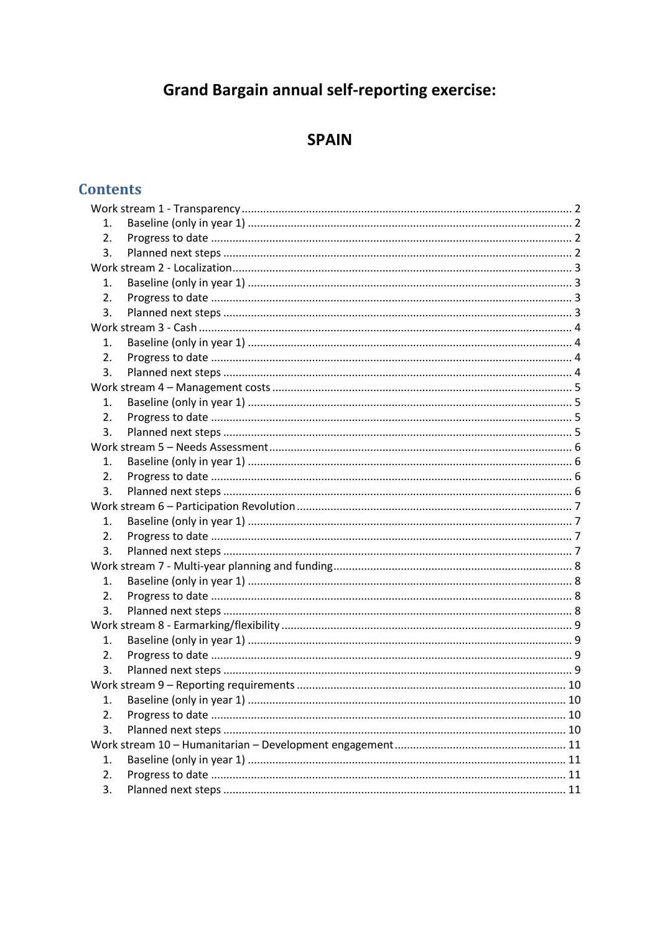# **Grand Bargain annual self-reporting exercise:**

# **SPAIN**

## **Contents**

| 1.               |  |  |
|------------------|--|--|
| $\overline{2}$ . |  |  |
| 3.               |  |  |
|                  |  |  |
| 1.               |  |  |
| $\overline{2}$ . |  |  |
| 3.               |  |  |
|                  |  |  |
| 1.               |  |  |
| 2.               |  |  |
| 3.               |  |  |
|                  |  |  |
| 1.               |  |  |
| 2.               |  |  |
| 3.               |  |  |
|                  |  |  |
| 1.               |  |  |
| 2.               |  |  |
| 3.               |  |  |
|                  |  |  |
| 1.               |  |  |
| 2.               |  |  |
| 3.               |  |  |
|                  |  |  |
| 1.               |  |  |
| 2.               |  |  |
| 3.               |  |  |
|                  |  |  |
| 1.               |  |  |
| 2.               |  |  |
| 3.               |  |  |
|                  |  |  |
|                  |  |  |
| 2.               |  |  |
| 3.               |  |  |
|                  |  |  |
| 1.               |  |  |
| 2.               |  |  |
| 3.               |  |  |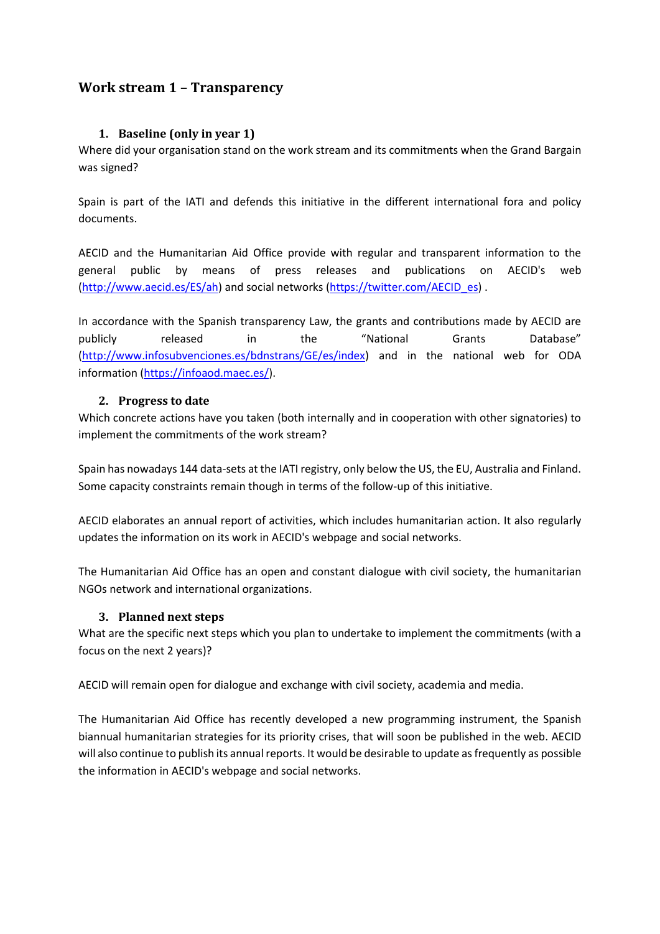### <span id="page-1-0"></span>**Work stream 1 – Transparency**

### **1. Baseline (only in year 1)**

<span id="page-1-1"></span>Where did your organisation stand on the work stream and its commitments when the Grand Bargain was signed?

Spain is part of the IATI and defends this initiative in the different international fora and policy documents.

AECID and the Humanitarian Aid Office provide with regular and transparent information to the general public by means of press releases and publications on AECID's web [\(http://www.aecid.es/ES/ah\)](http://www.aecid.es/ES/ah) and social networks [\(https://twitter.com/AECID\\_es\)](https://twitter.com/AECID_es) .

In accordance with the Spanish transparency Law, the grants and contributions made by AECID are publicly released in the "National Grants Database" [\(http://www.infosubvenciones.es/bdnstrans/GE/es/index\)](http://www.infosubvenciones.es/bdnstrans/GE/es/index) and in the national web for ODA information [\(https://infoaod.maec.es/\)](https://infoaod.maec.es/).

### <span id="page-1-2"></span>**2. Progress to date**

Which concrete actions have you taken (both internally and in cooperation with other signatories) to implement the commitments of the work stream?

Spain has nowadays 144 data-sets at the IATI registry, only below the US, the EU, Australia and Finland. Some capacity constraints remain though in terms of the follow-up of this initiative.

AECID elaborates an annual report of activities, which includes humanitarian action. It also regularly updates the information on its work in AECID's webpage and social networks.

The Humanitarian Aid Office has an open and constant dialogue with civil society, the humanitarian NGOs network and international organizations.

### <span id="page-1-3"></span>**3. Planned next steps**

What are the specific next steps which you plan to undertake to implement the commitments (with a focus on the next 2 years)?

AECID will remain open for dialogue and exchange with civil society, academia and media.

The Humanitarian Aid Office has recently developed a new programming instrument, the Spanish biannual humanitarian strategies for its priority crises, that will soon be published in the web. AECID will also continue to publish its annual reports. It would be desirable to update as frequently as possible the information in AECID's webpage and social networks.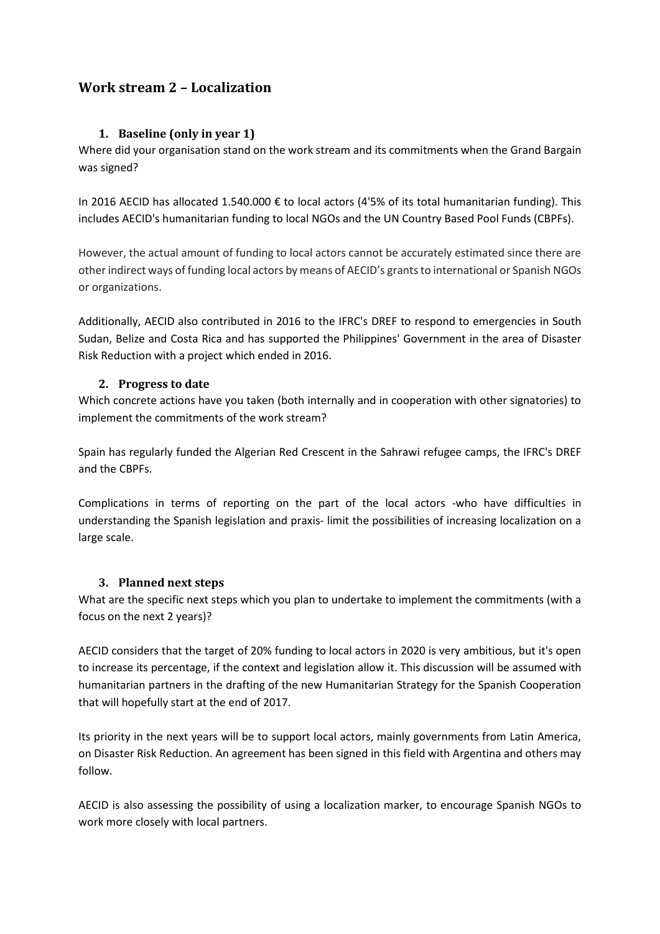### <span id="page-2-0"></span>**Work stream 2 – Localization**

### **1. Baseline (only in year 1)**

<span id="page-2-1"></span>Where did your organisation stand on the work stream and its commitments when the Grand Bargain was signed?

In 2016 AECID has allocated 1.540.000 € to local actors (4'5% of its total humanitarian funding). This includes AECID's humanitarian funding to local NGOs and the UN Country Based Pool Funds (CBPFs).

However, the actual amount of funding to local actors cannot be accurately estimated since there are other indirect ways of funding local actors by means of AECID's grants to international or Spanish NGOs or organizations.

Additionally, AECID also contributed in 2016 to the IFRC's DREF to respond to emergencies in South Sudan, Belize and Costa Rica and has supported the Philippines' Government in the area of Disaster Risk Reduction with a project which ended in 2016.

### <span id="page-2-2"></span>**2. Progress to date**

Which concrete actions have you taken (both internally and in cooperation with other signatories) to implement the commitments of the work stream?

Spain has regularly funded the Algerian Red Crescent in the Sahrawi refugee camps, the IFRC's DREF and the CBPFs.

Complications in terms of reporting on the part of the local actors -who have difficulties in understanding the Spanish legislation and praxis- limit the possibilities of increasing localization on a large scale.

### <span id="page-2-3"></span>**3. Planned next steps**

What are the specific next steps which you plan to undertake to implement the commitments (with a focus on the next 2 years)?

AECID considers that the target of 20% funding to local actors in 2020 is very ambitious, but it's open to increase its percentage, if the context and legislation allow it. This discussion will be assumed with humanitarian partners in the drafting of the new Humanitarian Strategy for the Spanish Cooperation that will hopefully start at the end of 2017.

Its priority in the next years will be to support local actors, mainly governments from Latin America, on Disaster Risk Reduction. An agreement has been signed in this field with Argentina and others may follow.

AECID is also assessing the possibility of using a localization marker, to encourage Spanish NGOs to work more closely with local partners.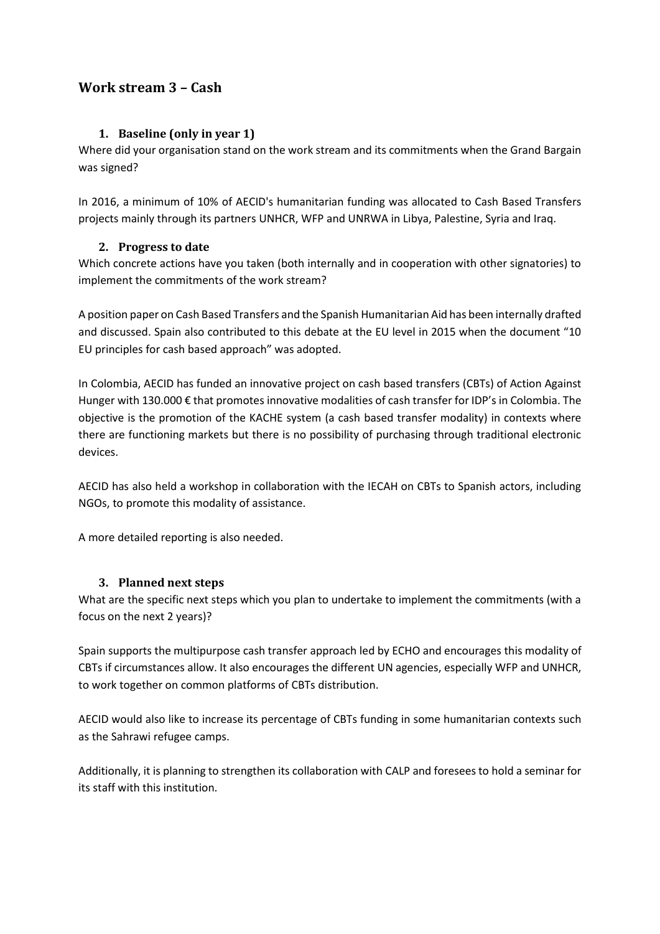### <span id="page-3-0"></span>**Work stream 3 – Cash**

### **1. Baseline (only in year 1)**

<span id="page-3-1"></span>Where did your organisation stand on the work stream and its commitments when the Grand Bargain was signed?

In 2016, a minimum of 10% of AECID's humanitarian funding was allocated to Cash Based Transfers projects mainly through its partners UNHCR, WFP and UNRWA in Libya, Palestine, Syria and Iraq.

### <span id="page-3-2"></span>**2. Progress to date**

Which concrete actions have you taken (both internally and in cooperation with other signatories) to implement the commitments of the work stream?

A position paper on Cash Based Transfers and the Spanish Humanitarian Aid has been internally drafted and discussed. Spain also contributed to this debate at the EU level in 2015 when the document "10 EU principles for cash based approach" was adopted.

In Colombia, AECID has funded an innovative project on cash based transfers (CBTs) of Action Against Hunger with 130.000 € that promotes innovative modalities of cash transfer for IDP's in Colombia. The objective is the promotion of the KACHE system (a cash based transfer modality) in contexts where there are functioning markets but there is no possibility of purchasing through traditional electronic devices.

AECID has also held a workshop in collaboration with the IECAH on CBTs to Spanish actors, including NGOs, to promote this modality of assistance.

A more detailed reporting is also needed.

### <span id="page-3-3"></span>**3. Planned next steps**

What are the specific next steps which you plan to undertake to implement the commitments (with a focus on the next 2 years)?

Spain supports the multipurpose cash transfer approach led by ECHO and encourages this modality of CBTs if circumstances allow. It also encourages the different UN agencies, especially WFP and UNHCR, to work together on common platforms of CBTs distribution.

AECID would also like to increase its percentage of CBTs funding in some humanitarian contexts such as the Sahrawi refugee camps.

Additionally, it is planning to strengthen its collaboration with CALP and foresees to hold a seminar for its staff with this institution.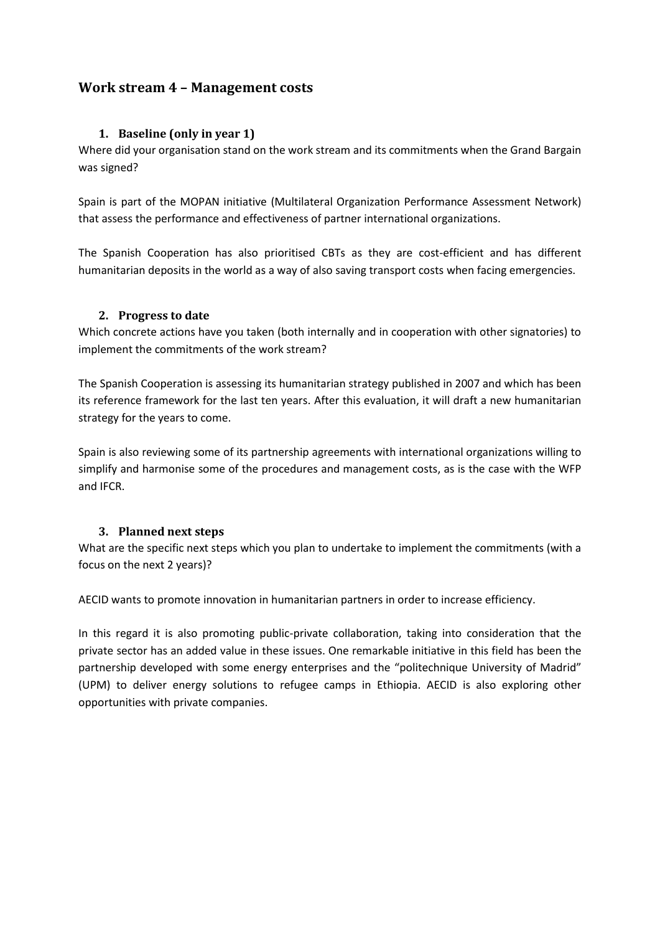### <span id="page-4-0"></span>**Work stream 4 – Management costs**

### <span id="page-4-2"></span>**1. Baseline (only in year 1)**

<span id="page-4-1"></span>Where did your organisation stand on the work stream and its commitments when the Grand Bargain was signed?

Spain is part of the MOPAN initiative (Multilateral Organization Performance Assessment Network) that assess the performance and effectiveness of partner international organizations.

The Spanish Cooperation has also prioritised CBTs as they are cost-efficient and has different humanitarian deposits in the world as a way of also saving transport costs when facing emergencies.

### **2. Progress to date**

Which concrete actions have you taken (both internally and in cooperation with other signatories) to implement the commitments of the work stream?

<span id="page-4-3"></span>The Spanish Cooperation is assessing its humanitarian strategy published in 2007 and which has been its reference framework for the last ten years. After this evaluation, it will draft a new humanitarian strategy for the years to come.

Spain is also reviewing some of its partnership agreements with international organizations willing to simplify and harmonise some of the procedures and management costs, as is the case with the WFP and IFCR.

### **3. Planned next steps**

What are the specific next steps which you plan to undertake to implement the commitments (with a focus on the next 2 years)?

AECID wants to promote innovation in humanitarian partners in order to increase efficiency.

In this regard it is also promoting public-private collaboration, taking into consideration that the private sector has an added value in these issues. One remarkable initiative in this field has been the partnership developed with some energy enterprises and the "politechnique University of Madrid" (UPM) to deliver energy solutions to refugee camps in Ethiopia. AECID is also exploring other opportunities with private companies.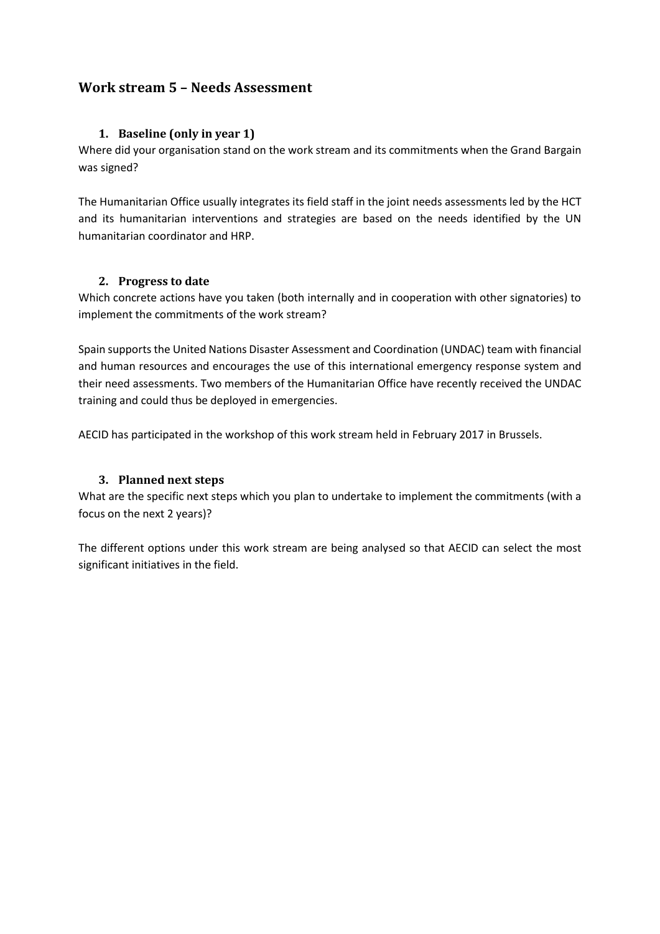### <span id="page-5-0"></span>**Work stream 5 – Needs Assessment**

### **1. Baseline (only in year 1)**

<span id="page-5-1"></span>Where did your organisation stand on the work stream and its commitments when the Grand Bargain was signed?

<span id="page-5-2"></span>The Humanitarian Office usually integrates its field staff in the joint needs assessments led by the HCT and its humanitarian interventions and strategies are based on the needs identified by the UN humanitarian coordinator and HRP.

### **2. Progress to date**

Which concrete actions have you taken (both internally and in cooperation with other signatories) to implement the commitments of the work stream?

Spain supports the United Nations Disaster Assessment and Coordination (UNDAC) team with financial and human resources and encourages the use of this international emergency response system and their need assessments. Two members of the Humanitarian Office have recently received the UNDAC training and could thus be deployed in emergencies.

AECID has participated in the workshop of this work stream held in February 2017 in Brussels.

### <span id="page-5-3"></span>**3. Planned next steps**

What are the specific next steps which you plan to undertake to implement the commitments (with a focus on the next 2 years)?

The different options under this work stream are being analysed so that AECID can select the most significant initiatives in the field.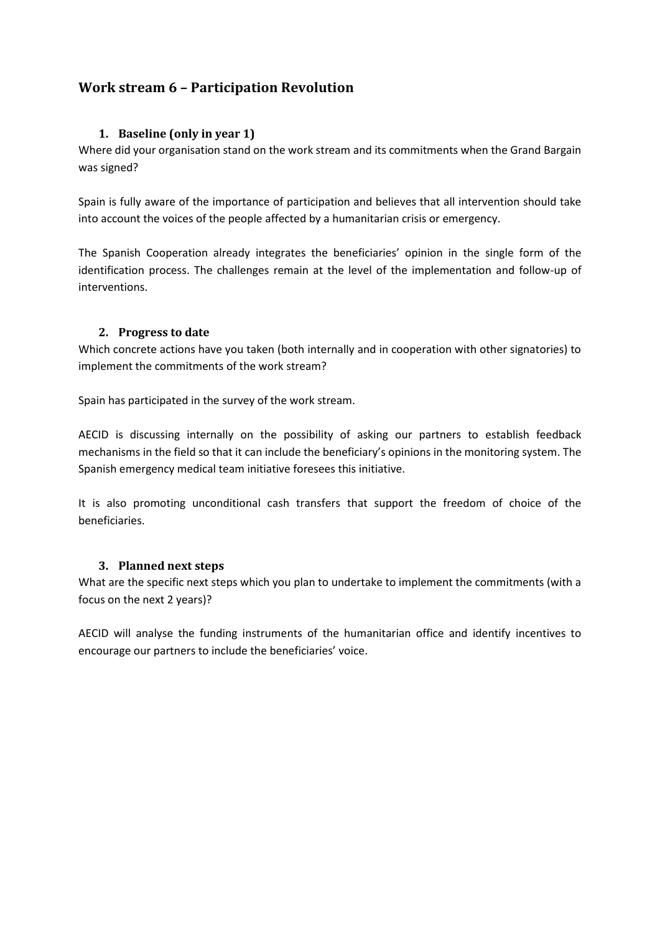### <span id="page-6-0"></span>**Work stream 6 – Participation Revolution**

### **1. Baseline (only in year 1)**

<span id="page-6-1"></span>Where did your organisation stand on the work stream and its commitments when the Grand Bargain was signed?

Spain is fully aware of the importance of participation and believes that all intervention should take into account the voices of the people affected by a humanitarian crisis or emergency.

The Spanish Cooperation already integrates the beneficiaries' opinion in the single form of the identification process. The challenges remain at the level of the implementation and follow-up of interventions.

### <span id="page-6-2"></span>**2. Progress to date**

Which concrete actions have you taken (both internally and in cooperation with other signatories) to implement the commitments of the work stream?

Spain has participated in the survey of the work stream.

AECID is discussing internally on the possibility of asking our partners to establish feedback mechanisms in the field so that it can include the beneficiary's opinions in the monitoring system. The Spanish emergency medical team initiative foresees this initiative.

It is also promoting unconditional cash transfers that support the freedom of choice of the beneficiaries.

### <span id="page-6-3"></span>**3. Planned next steps**

What are the specific next steps which you plan to undertake to implement the commitments (with a focus on the next 2 years)?

AECID will analyse the funding instruments of the humanitarian office and identify incentives to encourage our partners to include the beneficiaries' voice.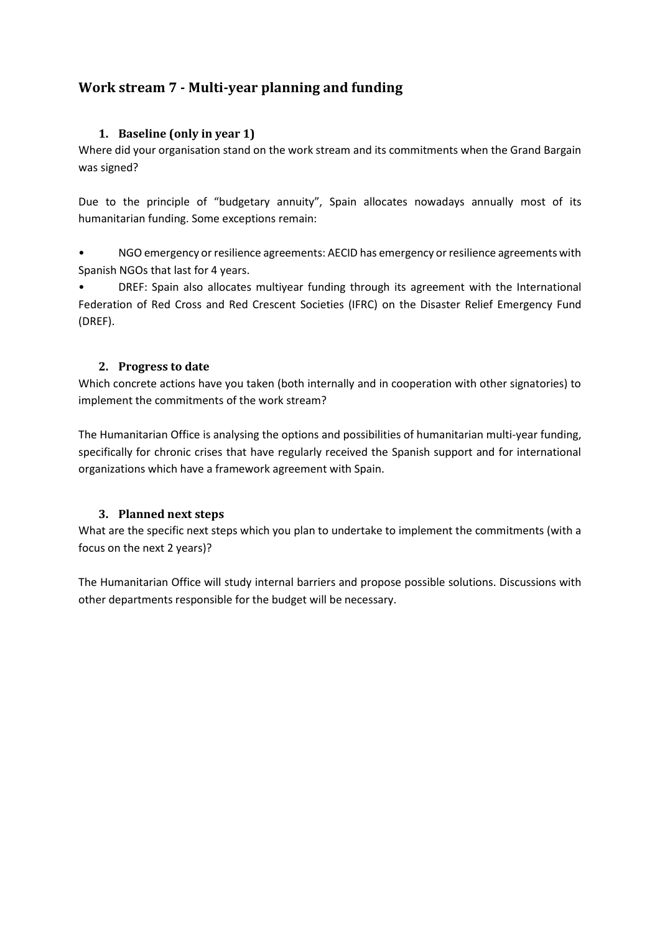### <span id="page-7-0"></span>**Work stream 7 - Multi-year planning and funding**

### **1. Baseline (only in year 1)**

<span id="page-7-1"></span>Where did your organisation stand on the work stream and its commitments when the Grand Bargain was signed?

Due to the principle of "budgetary annuity", Spain allocates nowadays annually most of its humanitarian funding. Some exceptions remain:

• NGO emergency or resilience agreements: AECID has emergency or resilience agreements with Spanish NGOs that last for 4 years.

• DREF: Spain also allocates multiyear funding through its agreement with the International Federation of Red Cross and Red Crescent Societies (IFRC) on the Disaster Relief Emergency Fund (DREF).

### <span id="page-7-2"></span>**2. Progress to date**

Which concrete actions have you taken (both internally and in cooperation with other signatories) to implement the commitments of the work stream?

The Humanitarian Office is analysing the options and possibilities of humanitarian multi-year funding, specifically for chronic crises that have regularly received the Spanish support and for international organizations which have a framework agreement with Spain.

### <span id="page-7-3"></span>**3. Planned next steps**

What are the specific next steps which you plan to undertake to implement the commitments (with a focus on the next 2 years)?

The Humanitarian Office will study internal barriers and propose possible solutions. Discussions with other departments responsible for the budget will be necessary.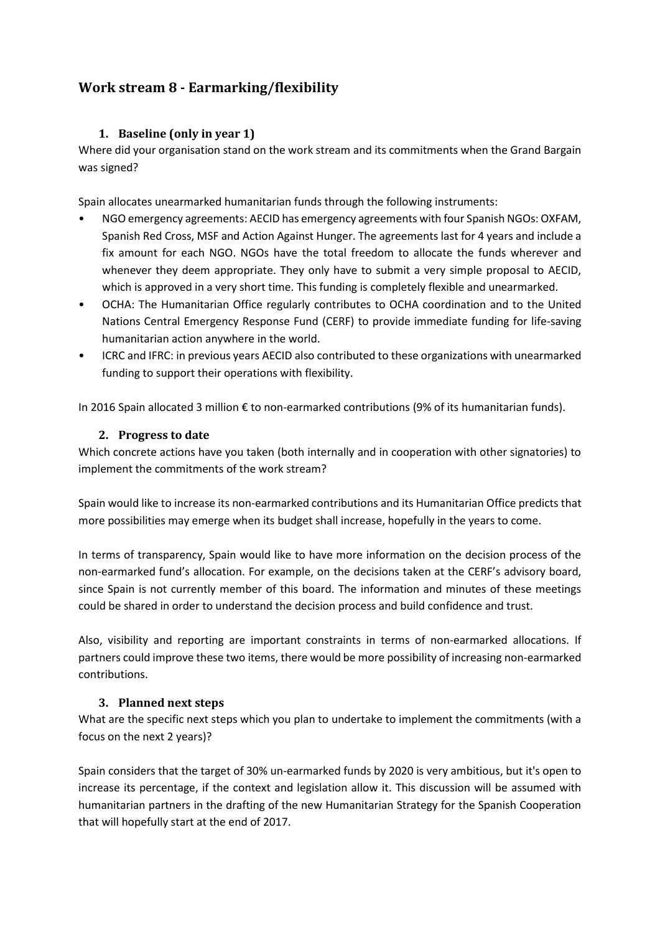### <span id="page-8-0"></span>**Work stream 8 - Earmarking/flexibility**

### **1. Baseline (only in year 1)**

<span id="page-8-1"></span>Where did your organisation stand on the work stream and its commitments when the Grand Bargain was signed?

Spain allocates unearmarked humanitarian funds through the following instruments:

- NGO emergency agreements: AECID has emergency agreements with four Spanish NGOs: OXFAM, Spanish Red Cross, MSF and Action Against Hunger. The agreements last for 4 years and include a fix amount for each NGO. NGOs have the total freedom to allocate the funds wherever and whenever they deem appropriate. They only have to submit a very simple proposal to AECID, which is approved in a very short time. This funding is completely flexible and unearmarked.
- OCHA: The Humanitarian Office regularly contributes to OCHA coordination and to the United Nations Central Emergency Response Fund (CERF) to provide immediate funding for life-saving humanitarian action anywhere in the world.
- ICRC and IFRC: in previous years AECID also contributed to these organizations with unearmarked funding to support their operations with flexibility.

<span id="page-8-2"></span>In 2016 Spain allocated 3 million € to non-earmarked contributions (9% of its humanitarian funds).

### **2. Progress to date**

Which concrete actions have you taken (both internally and in cooperation with other signatories) to implement the commitments of the work stream?

Spain would like to increase its non-earmarked contributions and its Humanitarian Office predicts that more possibilities may emerge when its budget shall increase, hopefully in the years to come.

In terms of transparency, Spain would like to have more information on the decision process of the non-earmarked fund's allocation. For example, on the decisions taken at the CERF's advisory board, since Spain is not currently member of this board. The information and minutes of these meetings could be shared in order to understand the decision process and build confidence and trust.

Also, visibility and reporting are important constraints in terms of non-earmarked allocations. If partners could improve these two items, there would be more possibility of increasing non-earmarked contributions.

### <span id="page-8-3"></span>**3. Planned next steps**

What are the specific next steps which you plan to undertake to implement the commitments (with a focus on the next 2 years)?

Spain considers that the target of 30% un-earmarked funds by 2020 is very ambitious, but it's open to increase its percentage, if the context and legislation allow it. This discussion will be assumed with humanitarian partners in the drafting of the new Humanitarian Strategy for the Spanish Cooperation that will hopefully start at the end of 2017.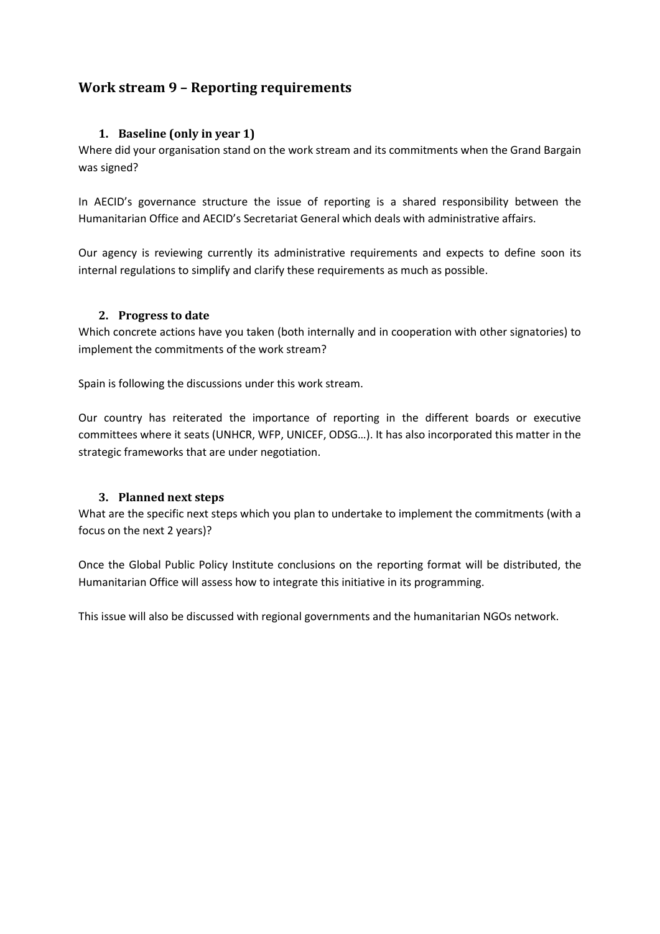### <span id="page-9-0"></span>**Work stream 9 – Reporting requirements**

### **1. Baseline (only in year 1)**

<span id="page-9-1"></span>Where did your organisation stand on the work stream and its commitments when the Grand Bargain was signed?

In AECID's governance structure the issue of reporting is a shared responsibility between the Humanitarian Office and AECID's Secretariat General which deals with administrative affairs.

Our agency is reviewing currently its administrative requirements and expects to define soon its internal regulations to simplify and clarify these requirements as much as possible.

### <span id="page-9-2"></span>**2. Progress to date**

Which concrete actions have you taken (both internally and in cooperation with other signatories) to implement the commitments of the work stream?

Spain is following the discussions under this work stream.

Our country has reiterated the importance of reporting in the different boards or executive committees where it seats (UNHCR, WFP, UNICEF, ODSG…). It has also incorporated this matter in the strategic frameworks that are under negotiation.

### <span id="page-9-3"></span>**3. Planned next steps**

What are the specific next steps which you plan to undertake to implement the commitments (with a focus on the next 2 years)?

Once the Global Public Policy Institute conclusions on the reporting format will be distributed, the Humanitarian Office will assess how to integrate this initiative in its programming.

This issue will also be discussed with regional governments and the humanitarian NGOs network.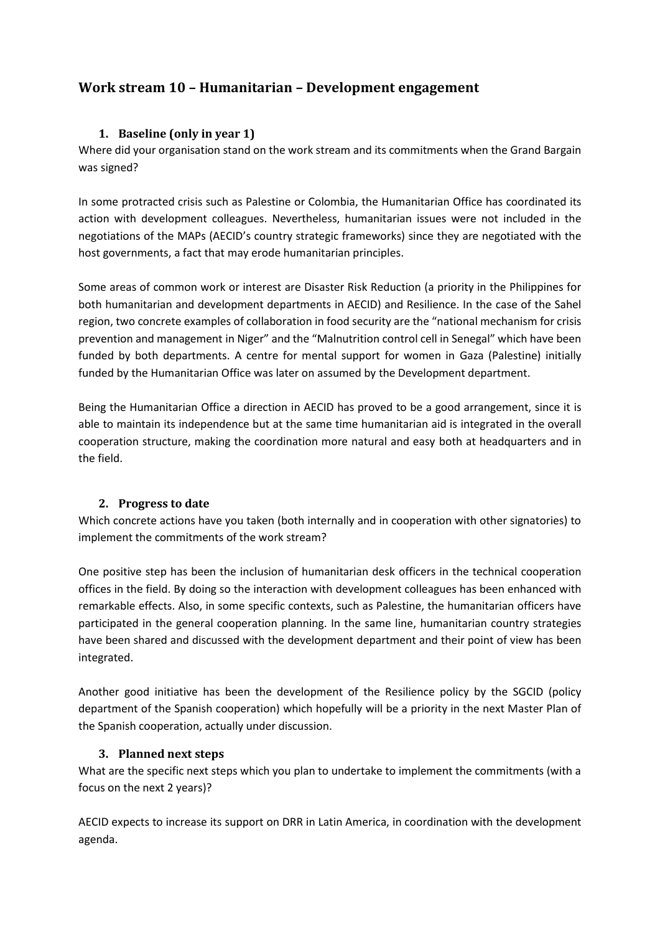### <span id="page-10-0"></span>**Work stream 10 – Humanitarian – Development engagement**

### **1. Baseline (only in year 1)**

<span id="page-10-1"></span>Where did your organisation stand on the work stream and its commitments when the Grand Bargain was signed?

In some protracted crisis such as Palestine or Colombia, the Humanitarian Office has coordinated its action with development colleagues. Nevertheless, humanitarian issues were not included in the negotiations of the MAPs (AECID's country strategic frameworks) since they are negotiated with the host governments, a fact that may erode humanitarian principles.

Some areas of common work or interest are Disaster Risk Reduction (a priority in the Philippines for both humanitarian and development departments in AECID) and Resilience. In the case of the Sahel region, two concrete examples of collaboration in food security are the "national mechanism for crisis prevention and management in Niger" and the "Malnutrition control cell in Senegal" which have been funded by both departments. A centre for mental support for women in Gaza (Palestine) initially funded by the Humanitarian Office was later on assumed by the Development department.

Being the Humanitarian Office a direction in AECID has proved to be a good arrangement, since it is able to maintain its independence but at the same time humanitarian aid is integrated in the overall cooperation structure, making the coordination more natural and easy both at headquarters and in the field.

### <span id="page-10-2"></span>**2. Progress to date**

Which concrete actions have you taken (both internally and in cooperation with other signatories) to implement the commitments of the work stream?

One positive step has been the inclusion of humanitarian desk officers in the technical cooperation offices in the field. By doing so the interaction with development colleagues has been enhanced with remarkable effects. Also, in some specific contexts, such as Palestine, the humanitarian officers have participated in the general cooperation planning. In the same line, humanitarian country strategies have been shared and discussed with the development department and their point of view has been integrated.

Another good initiative has been the development of the Resilience policy by the SGCID (policy department of the Spanish cooperation) which hopefully will be a priority in the next Master Plan of the Spanish cooperation, actually under discussion.

### <span id="page-10-3"></span>**3. Planned next steps**

What are the specific next steps which you plan to undertake to implement the commitments (with a focus on the next 2 years)?

AECID expects to increase its support on DRR in Latin America, in coordination with the development agenda.